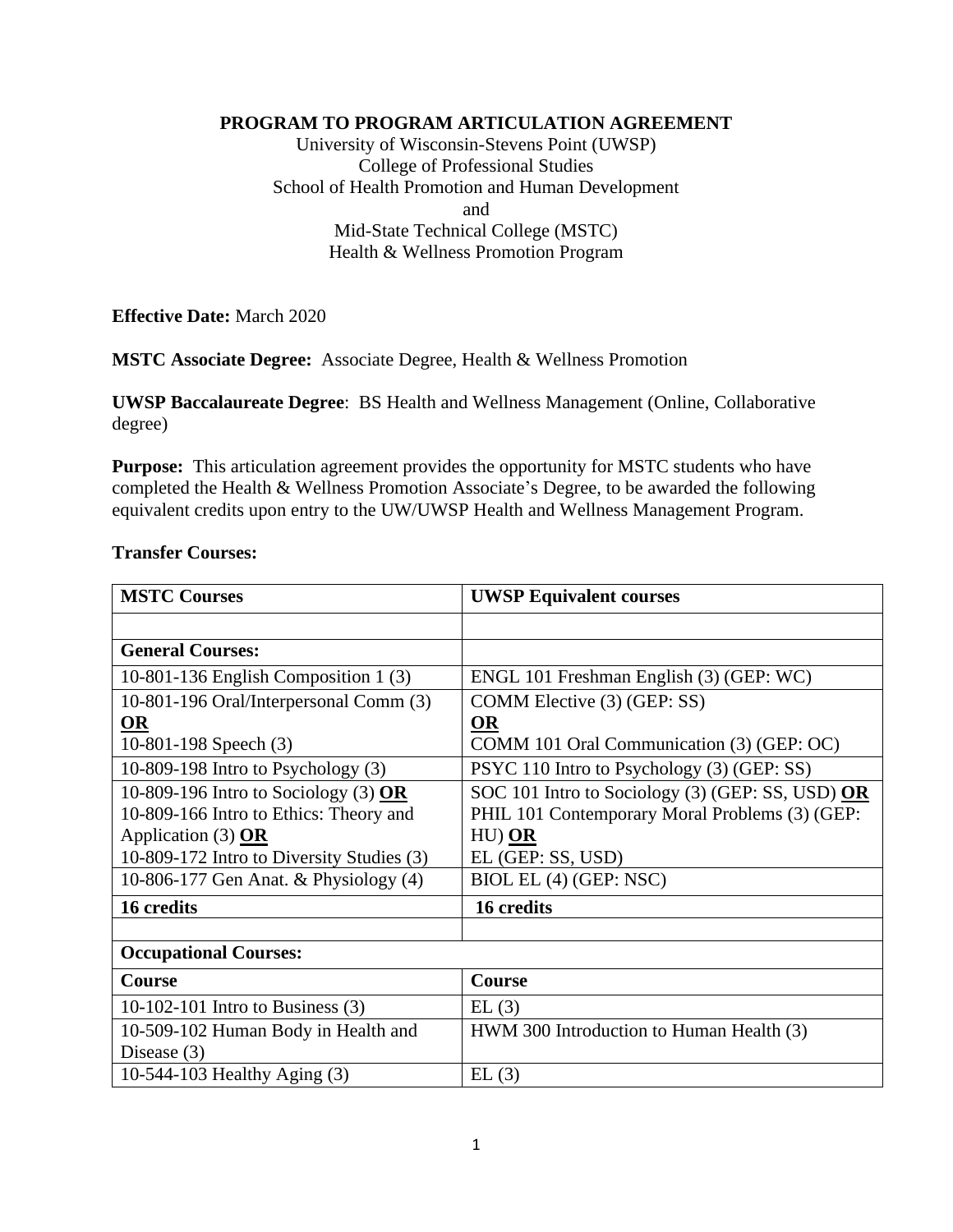### **PROGRAM TO PROGRAM ARTICULATION AGREEMENT**

University of Wisconsin-Stevens Point (UWSP) College of Professional Studies School of Health Promotion and Human Development and Mid-State Technical College (MSTC) Health & Wellness Promotion Program

**Effective Date:** March 2020

**MSTC Associate Degree:** Associate Degree, Health & Wellness Promotion

**UWSP Baccalaureate Degree**: BS Health and Wellness Management (Online, Collaborative degree)

**Purpose:** This articulation agreement provides the opportunity for MSTC students who have completed the Health & Wellness Promotion Associate's Degree, to be awarded the following equivalent credits upon entry to the UW/UWSP Health and Wellness Management Program.

#### **Transfer Courses:**

| <b>MSTC Courses</b>                       | <b>UWSP Equivalent courses</b>                   |
|-------------------------------------------|--------------------------------------------------|
|                                           |                                                  |
| <b>General Courses:</b>                   |                                                  |
| 10-801-136 English Composition 1 $(3)$    | ENGL 101 Freshman English (3) (GEP: WC)          |
| 10-801-196 Oral/Interpersonal Comm (3)    | COMM Elective (3) (GEP: SS)                      |
| <b>OR</b>                                 | <b>OR</b>                                        |
| 10-801-198 Speech (3)                     | COMM 101 Oral Communication (3) (GEP: OC)        |
| 10-809-198 Intro to Psychology $(3)$      | PSYC 110 Intro to Psychology (3) (GEP: SS)       |
| 10-809-196 Intro to Sociology (3) OR      | SOC 101 Intro to Sociology (3) (GEP: SS, USD) OR |
| 10-809-166 Intro to Ethics: Theory and    | PHIL 101 Contemporary Moral Problems (3) (GEP:   |
| Application (3) $OR$                      | $HU)$ $OR$                                       |
| 10-809-172 Intro to Diversity Studies (3) | EL (GEP: SS, USD)                                |
| 10-806-177 Gen Anat. & Physiology (4)     | BIOL EL (4) (GEP: NSC)                           |
| 16 credits                                | 16 credits                                       |
|                                           |                                                  |
| <b>Occupational Courses:</b>              |                                                  |
| Course                                    | Course                                           |
| 10-102-101 Intro to Business $(3)$        | EL(3)                                            |
| 10-509-102 Human Body in Health and       | HWM 300 Introduction to Human Health (3)         |
| Disease $(3)$                             |                                                  |
| 10-544-103 Healthy Aging (3)              | EL(3)                                            |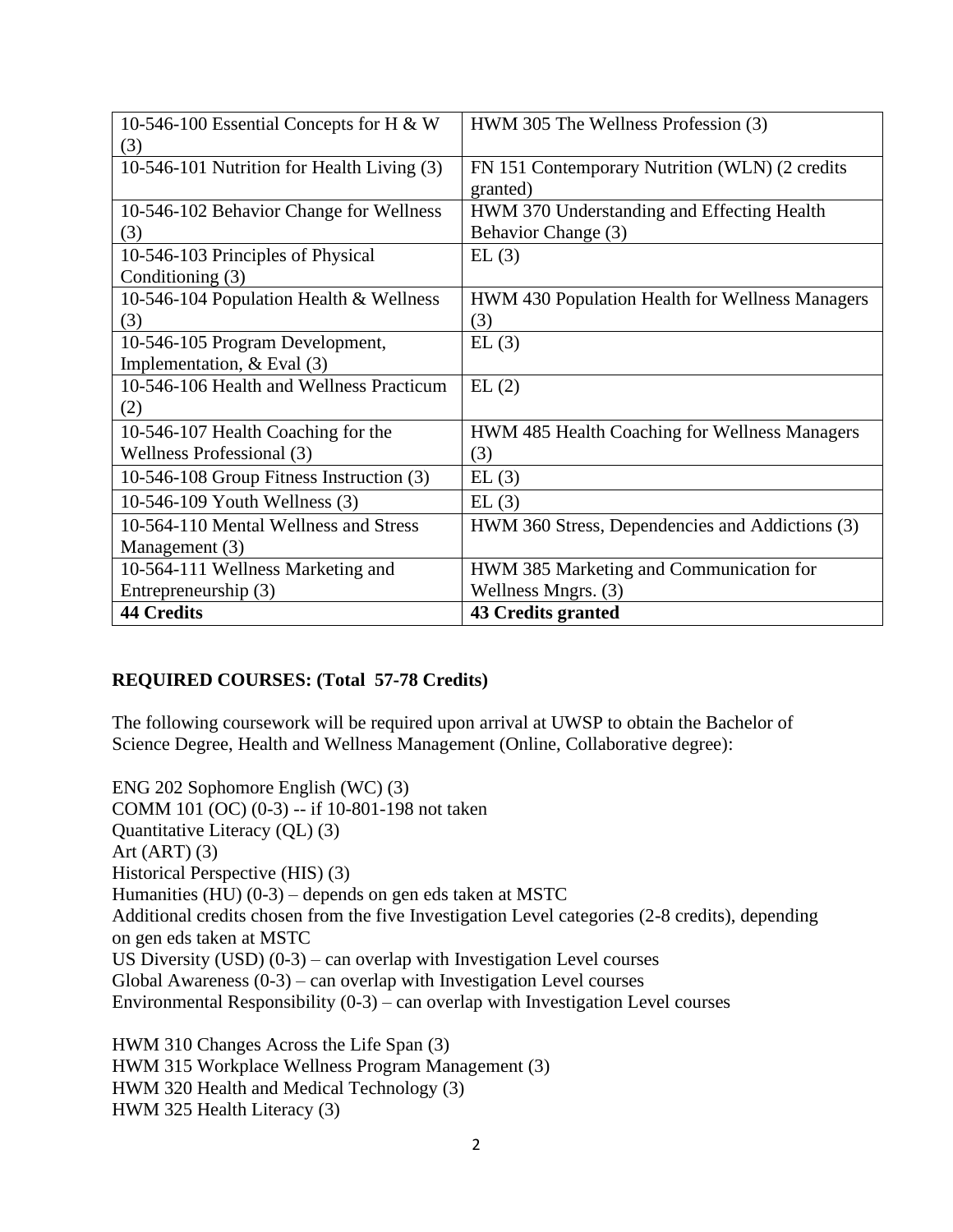| 10-546-100 Essential Concepts for H & W    | HWM 305 The Wellness Profession (3)             |
|--------------------------------------------|-------------------------------------------------|
| (3)                                        |                                                 |
| 10-546-101 Nutrition for Health Living (3) | FN 151 Contemporary Nutrition (WLN) (2 credits  |
|                                            | granted)                                        |
| 10-546-102 Behavior Change for Wellness    | HWM 370 Understanding and Effecting Health      |
| (3)                                        | Behavior Change (3)                             |
| 10-546-103 Principles of Physical          | EL(3)                                           |
| Conditioning (3)                           |                                                 |
| 10-546-104 Population Health & Wellness    | HWM 430 Population Health for Wellness Managers |
| (3)                                        | (3)                                             |
| 10-546-105 Program Development,            | EL(3)                                           |
| Implementation, $&Eval(3)$                 |                                                 |
| 10-546-106 Health and Wellness Practicum   | EL(2)                                           |
| (2)                                        |                                                 |
| 10-546-107 Health Coaching for the         | HWM 485 Health Coaching for Wellness Managers   |
| Wellness Professional (3)                  | (3)                                             |
| 10-546-108 Group Fitness Instruction (3)   | EL(3)                                           |
| 10-546-109 Youth Wellness (3)              | EL(3)                                           |
| 10-564-110 Mental Wellness and Stress      | HWM 360 Stress, Dependencies and Addictions (3) |
| Management (3)                             |                                                 |
| 10-564-111 Wellness Marketing and          | HWM 385 Marketing and Communication for         |
| Entrepreneurship (3)                       | Wellness Mngrs. (3)                             |
| <b>44 Credits</b>                          | <b>43 Credits granted</b>                       |

# **REQUIRED COURSES: (Total 57-78 Credits)**

The following coursework will be required upon arrival at UWSP to obtain the Bachelor of Science Degree, Health and Wellness Management (Online, Collaborative degree):

ENG 202 Sophomore English (WC) (3) COMM 101 (OC) (0-3) -- if 10-801-198 not taken Quantitative Literacy (QL) (3) Art  $(ART)$   $(3)$ Historical Perspective (HIS) (3) Humanities (HU) (0-3) – depends on gen eds taken at MSTC Additional credits chosen from the five Investigation Level categories (2-8 credits), depending on gen eds taken at MSTC US Diversity (USD)  $(0-3)$  – can overlap with Investigation Level courses Global Awareness  $(0-3)$  – can overlap with Investigation Level courses Environmental Responsibility (0-3) – can overlap with Investigation Level courses

HWM 310 Changes Across the Life Span (3) HWM 315 Workplace Wellness Program Management (3) HWM 320 Health and Medical Technology (3) HWM 325 Health Literacy (3)